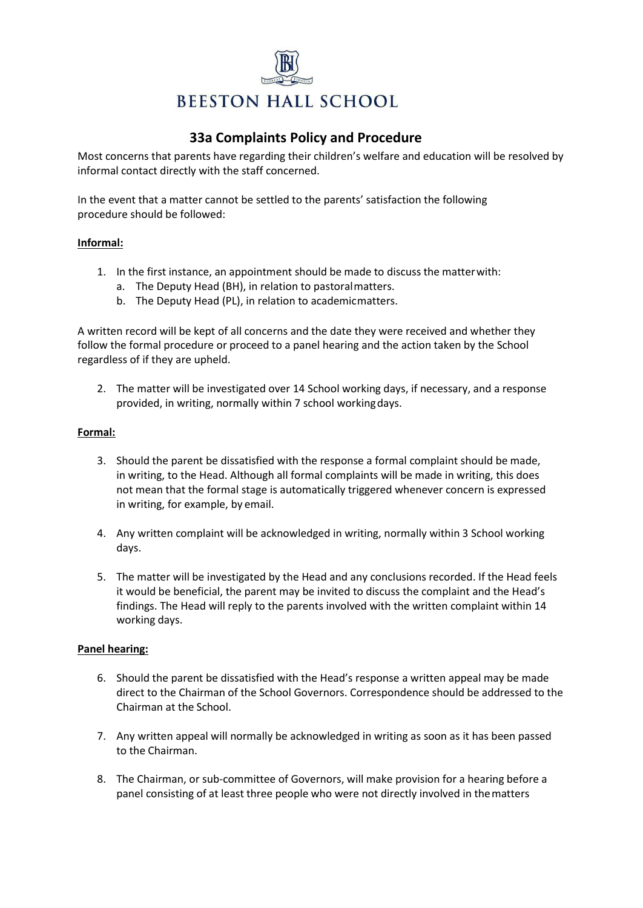

# **33a Complaints Policy and Procedure**

Most concerns that parents have regarding their children's welfare and education will be resolved by informal contact directly with the staff concerned.

In the event that a matter cannot be settled to the parents' satisfaction the following procedure should be followed:

## **Informal:**

- 1. In the first instance, an appointment should be made to discuss the matterwith:
	- a. The Deputy Head (BH), in relation to pastoralmatters.
	- b. The Deputy Head (PL), in relation to academicmatters.

A written record will be kept of all concerns and the date they were received and whether they follow the formal procedure or proceed to a panel hearing and the action taken by the School regardless of if they are upheld.

2. The matter will be investigated over 14 School working days, if necessary, and a response provided, in writing, normally within 7 school workingdays.

## **Formal:**

- 3. Should the parent be dissatisfied with the response a formal complaint should be made, in writing, to the Head. Although all formal complaints will be made in writing, this does not mean that the formal stage is automatically triggered whenever concern is expressed in writing, for example, by email.
- 4. Any written complaint will be acknowledged in writing, normally within 3 School working days.
- 5. The matter will be investigated by the Head and any conclusions recorded. If the Head feels it would be beneficial, the parent may be invited to discuss the complaint and the Head's findings. The Head will reply to the parents involved with the written complaint within 14 working days.

#### **Panel hearing:**

- 6. Should the parent be dissatisfied with the Head's response a written appeal may be made direct to the Chairman of the School Governors. Correspondence should be addressed to the Chairman at the School.
- 7. Any written appeal will normally be acknowledged in writing as soon as it has been passed to the Chairman.
- 8. The Chairman, or sub-committee of Governors, will make provision for a hearing before a panel consisting of at least three people who were not directly involved in thematters